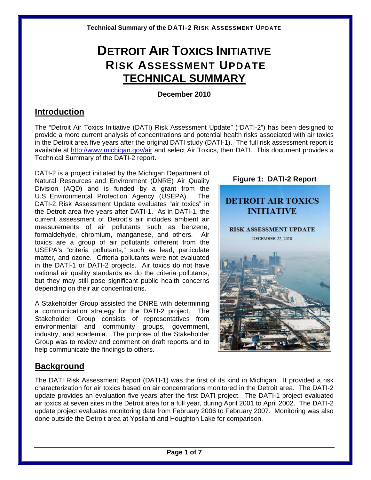# **DETROIT AIR TOXICS INITIATIVE RISK ASSESSMENT UPDATE TECHNICAL SUMMARY**

## **December 2010**

# **Introduction**

The "Detroit Air Toxics Initiative (DATI) Risk Assessment Update" ("DATI-2") has been designed to provide a more current analysis of concentrations and potential health risks associated with air toxics in the Detroit area five years after the original DATI study (DATI-1). The full risk assessment report is available at <http://www.michigan.gov/air>and select Air Toxics, then DATI. This document provides a Technical Summary of the DATI-2 report.

DATI-2 is a project initiated by the Michigan Department of Natural Resources and Environment (DNRE) Air Quality Division (AQD) and is funded by a grant from the U.S. Environmental Protection Agency (USEPA). The DATI-2 Risk Assessment Update evaluates "air toxics" in the Detroit area five years after DATI-1. As in DATI-1, the current assessment of Detroit's air includes ambient air measurements of air pollutants such as benzene, formaldehyde, chromium, manganese, and others. Air toxics are a group of air pollutants different from the USEPA's "criteria pollutants," such as lead, particulate matter, and ozone. Criteria pollutants were not evaluated in the DATI-1 or DATI-2 projects. Air toxics do not have national air quality standards as do the criteria pollutants, but they may still pose significant public health concerns depending on their air concentrations.

A Stakeholder Group assisted the DNRE with determining a communication strategy for the DATI-2 project. The Stakeholder Group consists of representatives from environmental and community groups, government, industry, and academia. The purpose of the Stakeholder Group was to review and comment on draft reports and to help communicate the findings to others.

# **Background**

The DATI Risk Assessment Report (DATI-1) was the first of its kind in Michigan. It provided a risk characterization for air toxics based on air concentrations monitored in the Detroit area. The DATI-2 update provides an evaluation five years after the first DATI project. The DATI-1 project evaluated air toxics at seven sites in the Detroit area for a full year, during April 2001 to April 2002. The DATI-2 update project evaluates monitoring data from February 2006 to February 2007. Monitoring was also done outside the Detroit area at Ypsilanti and Houghton Lake for comparison.

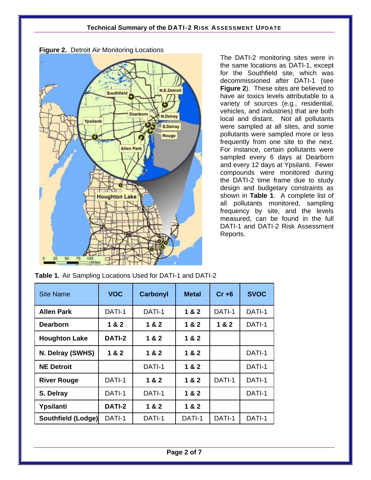

**Figure 2.** Detroit Air Monitoring Locations

The DATI-2 monitoring sites were in the same locations as DATI-1, except for the Southfield site, which was decommissioned after DATI-1 (see **Figure 2**). These sites are believed to have air toxics levels attributable to a variety of sources (e.g., residential, vehicles, and industries) that are both local and distant. Not all pollutants were sampled at all sites, and some pollutants were sampled more or less frequently from one site to the next. For instance, certain pollutants were sampled every 6 days at Dearborn and every 12 days at Ypsilanti. Fewer compounds were monitored during the DATI-2 time frame due to study design and budgetary constraints as shown in **Table 1**. A complete list of all pollutants monitored, sampling frequency by site, and the levels measured, can be found in the full DATI-1 and DATI-2 Risk Assessment Reports.

**Table 1.** Air Sampling Locations Used for DATI-1 and DATI-2

| <b>Site Name</b>          | <b>VOC</b>    | Carbonyl | <b>Metal</b> | $Cr + 6$ | <b>SVOC</b> |
|---------------------------|---------------|----------|--------------|----------|-------------|
| <b>Allen Park</b>         | DATI-1        | DATI-1   | 1 & 2        | DATI-1   | DATI-1      |
| <b>Dearborn</b>           | 1 & 2         | 1 & 2    | 1 & 2        | 1 & 2    | DATI-1      |
| <b>Houghton Lake</b>      | DATI-2        | 1 & 2    | 1 & 2        |          |             |
| N. Delray (SWHS)          | 1 & 2         | 1&2      | 1 & 2        |          | DATI-1      |
| <b>NE Detroit</b>         |               | DATI-1   | 1 & 2        |          | DATI-1      |
| <b>River Rouge</b>        | DATI-1        | 1 & 2    | 1 & 2        | DATI-1   | DATI-1      |
| S. Delray                 | DATI-1        | DATI-1   | 1 & 2        |          | DATI-1      |
| Ypsilanti                 | <b>DATI-2</b> | 1 & 2    | 1 & 2        |          |             |
| <b>Southfield (Lodge)</b> | DATI-1        | DATI-1   | DATI-1       | DATI-1   | DATI-1      |

**Page 2 of 7**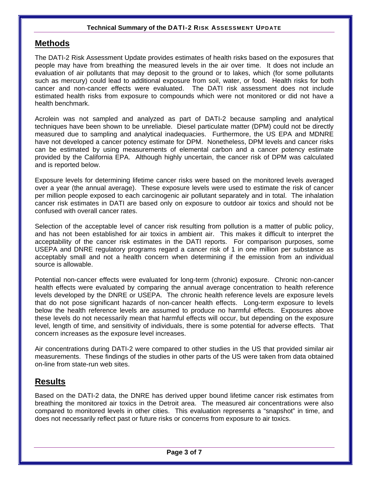## **Methods**

The DATI-2 Risk Assessment Update provides estimates of health risks based on the exposures that people may have from breathing the measured levels in the air over time. It does not include an evaluation of air pollutants that may deposit to the ground or to lakes, which (for some pollutants such as mercury) could lead to additional exposure from soil, water, or food. Health risks for both cancer and non-cancer effects were evaluated. The DATI risk assessment does not include estimated health risks from exposure to compounds which were not monitored or did not have a health benchmark.

Acrolein was not sampled and analyzed as part of DATI-2 because sampling and analytical techniques have been shown to be unreliable. Diesel particulate matter (DPM) could not be directly measured due to sampling and analytical inadequacies. Furthermore, the US EPA and MDNRE have not developed a cancer potency estimate for DPM. Nonetheless, DPM levels and cancer risks can be estimated by using measurements of elemental carbon and a cancer potency estimate provided by the California EPA. Although highly uncertain, the cancer risk of DPM was calculated and is reported below.

Exposure levels for determining lifetime cancer risks were based on the monitored levels averaged over a year (the annual average). These exposure levels were used to estimate the risk of cancer per million people exposed to each carcinogenic air pollutant separately and in total. The inhalation cancer risk estimates in DATI are based only on exposure to outdoor air toxics and should not be confused with overall cancer rates.

Selection of the acceptable level of cancer risk resulting from pollution is a matter of public policy, and has not been established for air toxics in ambient air. This makes it difficult to interpret the acceptability of the cancer risk estimates in the DATI reports. For comparison purposes, some USEPA and DNRE regulatory programs regard a cancer risk of 1 in one million per substance as acceptably small and not a health concern when determining if the emission from an individual source is allowable.

Potential non-cancer effects were evaluated for long-term (chronic) exposure. Chronic non-cancer health effects were evaluated by comparing the annual average concentration to health reference levels developed by the DNRE or USEPA. The chronic health reference levels are exposure levels that do not pose significant hazards of non-cancer health effects. Long-term exposure to levels below the health reference levels are assumed to produce no harmful effects. Exposures above these levels do not necessarily mean that harmful effects will occur, but depending on the exposure level, length of time, and sensitivity of individuals, there is some potential for adverse effects. That concern increases as the exposure level increases.

Air concentrations during DATI-2 were compared to other studies in the US that provided similar air measurements. These findings of the studies in other parts of the US were taken from data obtained on-line from state-run web sites.

## **Results**

Based on the DATI-2 data, the DNRE has derived upper bound lifetime cancer risk estimates from breathing the monitored air toxics in the Detroit area. The measured air concentrations were also compared to monitored levels in other cities. This evaluation represents a "snapshot" in time, and does not necessarily reflect past or future risks or concerns from exposure to air toxics.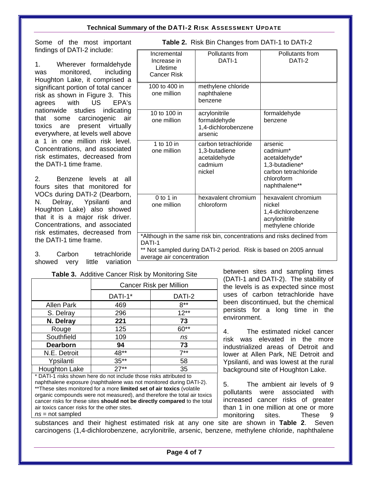$\Gamma$ 

Some of the most important findings of DATI-2 include:

1. Wherever formaldehyde was monitored, including Houghton Lake, it comprised a significant portion of total cancer risk as shown in Figure 3. This agrees with US EPA's nationwide studies indicating that some carcinogenic air toxics are present virtually everywhere, at levels well above a 1 in one million risk level. Concentrations, and associated risk estimates, decreased from the DATI-1 time frame.

2. Benzene levels at all fours sites that monitored for VOCs during DATI-2 (Dearborn, N. Delray, Ypsilanti and Houghton Lake) also showed that it is a major risk driver. Concentrations, and associated risk estimates, decreased from the DATI-1 time frame.

3. Carbon tetrachloride showed very little variation

| Incremental<br>Increase in<br>Lifetime<br><b>Cancer Risk</b>                                                                                                                       | Pollutants from<br>DATI-1                                                  | Pollutants from<br>DATI-2                                                                                     |  |  |  |
|------------------------------------------------------------------------------------------------------------------------------------------------------------------------------------|----------------------------------------------------------------------------|---------------------------------------------------------------------------------------------------------------|--|--|--|
| 100 to 400 in<br>one million                                                                                                                                                       | methylene chloride<br>naphthalene<br>benzene                               |                                                                                                               |  |  |  |
| 10 to 100 in<br>one million                                                                                                                                                        | acrylonitrile<br>formaldehyde<br>1,4-dichlorobenzene<br>arsenic            | formaldehyde<br>benzene                                                                                       |  |  |  |
| 1 to 10 in<br>one million                                                                                                                                                          | carbon tetrachloride<br>1,3-butadiene<br>acetaldehyde<br>cadmium<br>nickel | arsenic<br>cadmium*<br>acetaldehyde*<br>1,3-butadiene*<br>carbon tetrachloride<br>chloroform<br>naphthalene** |  |  |  |
| $0$ to 1 in<br>one million                                                                                                                                                         | hexavalent chromium<br>chloroform                                          | hexavalent chromium<br>nickel<br>1,4-dichlorobenzene<br>acrylonitrile<br>methylene chloride                   |  |  |  |
| *Although in the same risk bin, concentrations and risks declined from<br>DATI-1<br>** Not sampled during DATI-2 period. Risk is based on 2005 annual<br>average air concentration |                                                                            |                                                                                                               |  |  |  |

**Table 2.** Risk Bin Changes from DATI-1 to DATI-2

**Table 3.** Additive Cancer Risk by Monitoring Site

|                      | Cancer Risk per Million |        |  |  |
|----------------------|-------------------------|--------|--|--|
|                      | DATI-1*                 | DATI-2 |  |  |
| <b>Allen Park</b>    | 469                     | $8***$ |  |  |
| S. Delray            | 296                     | $12**$ |  |  |
| N. Delray            | 221                     | 73     |  |  |
| Rouge                | 125                     | $60**$ |  |  |
| Southfield           | 109                     | ns     |  |  |
| <b>Dearborn</b>      | 94                      | 73     |  |  |
| N.E. Detroit         | 48**                    | $7**$  |  |  |
| Ypsilanti            | $35**$                  | 58     |  |  |
| <b>Houghton Lake</b> | $27**$                  | 35     |  |  |

\* DATI-1 risks shown here do not include those risks attributed to naphthalene exposure (naphthalene was not monitored during DATI-2). \*\*These sites monitored for a more **limited set of air toxics** (volatile organic compounds were not measured), and therefore the total air toxics cancer risks for these sites **should not be directly compared** to the total air toxics cancer risks for the other sites. *ns* = not sampled

between sites and sampling times (DATI-1 and DATI-2). The stability of the levels is as expected since most uses of carbon tetrachloride have been discontinued, but the chemical persists for a long time in the environment.

4. The estimated nickel cancer risk was elevated in the more industrialized areas of Detroit and lower at Allen Park, NE Detroit and Ypsilanti, and was lowest at the rural background site of Houghton Lake.

5. The ambient air levels of 9 pollutants were associated with increased cancer risks of greater than 1 in one million at one or more monitoring sites. These 9

substances and their highest estimated risk at any one site are shown in **Table 2**. Seven carcinogens (1,4-dichlorobenzene, acrylonitrile, arsenic, benzene, methylene chloride, naphthalene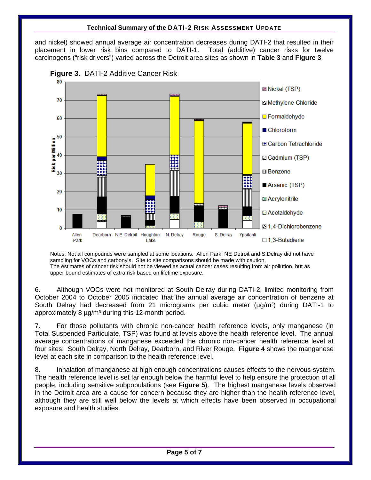and nickel) showed annual average air concentration decreases during DATI-2 that resulted in their placement in lower risk bins compared to DATI-1. Total (additive) cancer risks for twelve carcinogens ("risk drivers") varied across the Detroit area sites as shown in **Table 3** and **Figure 3**.



**Figure 3.** DATI-2 Additive Cancer Risk

Notes: Not all compounds were sampled at some locations. Allen Park, NE Detroit and S.Delray did not have sampling for VOCs and carbonyls. Site to site comparisons should be made with caution. The estimates of cancer risk should not be viewed as actual cancer cases resulting from air pollution, but as upper bound estimates of extra risk based on lifetime exposure.

6. Although VOCs were not monitored at South Delray during DATI-2, limited monitoring from October 2004 to October 2005 indicated that the annual average air concentration of benzene at South Delray had decreased from 21 micrograms per cubic meter  $(\mu q/m^3)$  during DATI-1 to approximately 8  $\mu$ g/m<sup>3</sup> during this 12-month period.

7. For those pollutants with chronic non-cancer health reference levels, only manganese (in Total Suspended Particulate, TSP) was found at levels above the health reference level. The annual average concentrations of manganese exceeded the chronic non-cancer health reference level at four sites: South Delray, North Delray, Dearborn, and River Rouge. **Figure 4** shows the manganese level at each site in comparison to the health reference level.

8. Inhalation of manganese at high enough concentrations causes effects to the nervous system. The health reference level is set far enough below the harmful level to help ensure the protection of all people, including sensitive subpopulations (see **Figure 5**). The highest manganese levels observed in the Detroit area are a cause for concern because they are higher than the health reference level, although they are still well below the levels at which effects have been observed in occupational exposure and health studies.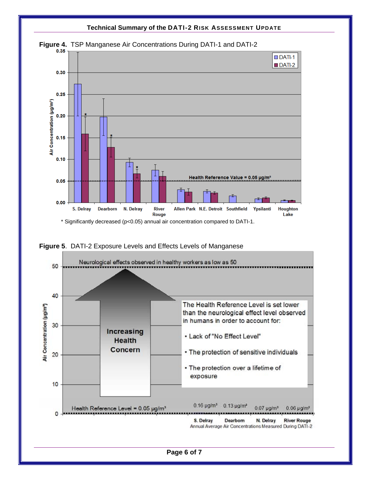

**Figure 5**. DATI-2 Exposure Levels and Effects Levels of Manganese



**Page 6 of 7**